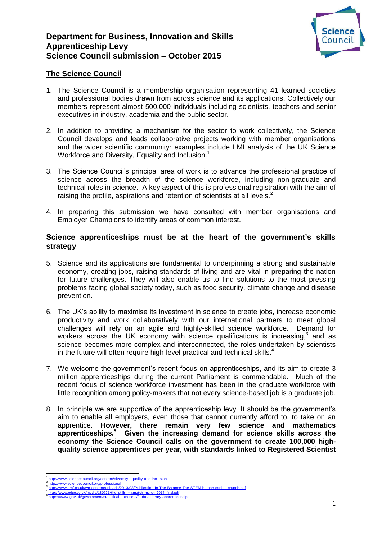# **Department for Business, Innovation and Skills Apprenticeship Levy Science Council submission – October 2015**



# **The Science Council**

- 1. The Science Council is a membership organisation representing 41 learned societies and professional bodies drawn from across science and its applications. Collectively our members represent almost 500,000 individuals including scientists, teachers and senior executives in industry, academia and the public sector.
- 2. In addition to providing a mechanism for the sector to work collectively, the Science Council develops and leads collaborative projects working with member organisations and the wider scientific community: examples include LMI analysis of the UK Science Workforce and Diversity, Equality and Inclusion.<sup>1</sup>
- 3. The Science Council's principal area of work is to advance the professional practice of science across the breadth of the science workforce, including non-graduate and technical roles in science. A key aspect of this is professional registration with the aim of raising the profile, aspirations and retention of scientists at all levels.<sup>2</sup>
- 4. In preparing this submission we have consulted with member organisations and Employer Champions to identify areas of common interest.

## **Science apprenticeships must be at the heart of the government's skills strategy**

- 5. Science and its applications are fundamental to underpinning a strong and sustainable economy, creating jobs, raising standards of living and are vital in preparing the nation for future challenges. They will also enable us to find solutions to the most pressing problems facing global society today, such as food security, climate change and disease prevention.
- 6. The UK's ability to maximise its investment in science to create jobs, increase economic productivity and work collaboratively with our international partners to meet global challenges will rely on an agile and highly-skilled science workforce. Demand for workers across the UK economy with science qualifications is increasing, $3$  and as science becomes more complex and interconnected, the roles undertaken by scientists in the future will often require high-level practical and technical skills. $4$
- 7. We welcome the government's recent focus on apprenticeships, and its aim to create 3 million apprenticeships during the current Parliament is commendable. Much of the recent focus of science workforce investment has been in the graduate workforce with little recognition among policy-makers that not every science-based job is a graduate job.
- 8. In principle we are supportive of the apprenticeship levy. It should be the government's aim to enable all employers, even those that cannot currently afford to, to take on an apprentice. **However, there remain very few science and mathematics apprenticeships.<sup>5</sup> Given the increasing demand for science skills across the economy the Science Council calls on the government to create 100,000 highquality science apprentices per year, with standards linked to Registered Scientist**

1

<sup>1</sup> <http://www.sciencecouncil.org/content/diversity-equality-and-inclusion> 2

<http://www.sciencecouncil.org/professional><br><http://www.smf.co.uk/wp-content/uploads/2013/03/Publication-In-The-Balance-The-STEM-human-capital-crunch.pdf><br>http://www.edge.co.uk/media/130721/the\_skills\_mismatch\_march\_2014\_fina 3

<sup>4</sup>

<sup>5</sup>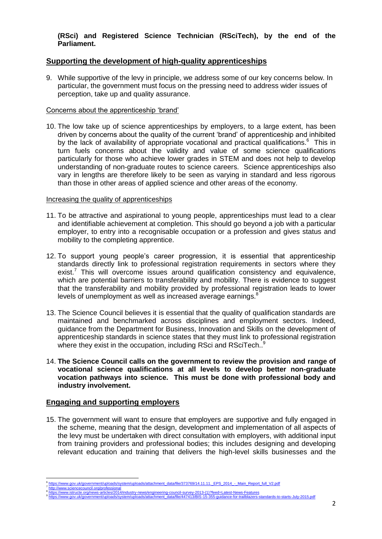### **(RSci) and Registered Science Technician (RSciTech), by the end of the Parliament.**

## **Supporting the development of high-quality apprenticeships**

9. While supportive of the levy in principle, we address some of our key concerns below. In particular, the government must focus on the pressing need to address wider issues of perception, take up and quality assurance.

#### Concerns about the apprenticeship 'brand'

10. The low take up of science apprenticeships by employers, to a large extent, has been driven by concerns about the quality of the current 'brand' of apprenticeship and inhibited by the lack of availability of appropriate vocational and practical qualifications. $6$  This in turn fuels concerns about the validity and value of some science qualifications particularly for those who achieve lower grades in STEM and does not help to develop understanding of non-graduate routes to science careers. Science apprenticeships also vary in lengths are therefore likely to be seen as varying in standard and less rigorous than those in other areas of applied science and other areas of the economy.

#### Increasing the quality of apprenticeships

- 11. To be attractive and aspirational to young people, apprenticeships must lead to a clear and identifiable achievement at completion. This should go beyond a job with a particular employer, to entry into a recognisable occupation or a profession and gives status and mobility to the completing apprentice.
- 12. To support young people's career progression, it is essential that apprenticeship standards directly link to professional registration requirements in sectors where they exist.<sup>7</sup> This will overcome issues around qualification consistency and equivalence, which are potential barriers to transferability and mobility. There is evidence to suggest that the transferability and mobility provided by professional registration leads to lower levels of unemployment as well as increased average earnings.<sup>8</sup>
- 13. The Science Council believes it is essential that the quality of qualification standards are maintained and benchmarked across disciplines and employment sectors. Indeed, guidance from the Department for Business, Innovation and Skills on the development of apprenticeship standards in science states that they must link to professional registration where they exist in the occupation, including RSci and RSciTech.<sup>9</sup>
- 14. **The Science Council calls on the government to review the provision and range of vocational science qualifications at all levels to develop better non-graduate vocation pathways into science. This must be done with professional body and industry involvement.**

## **Engaging and supporting employers**

15. The government will want to ensure that employers are supportive and fully engaged in the scheme, meaning that the design, development and implementation of all aspects of the levy must be undertaken with direct consultation with employers, with additional input from training providers and professional bodies; this includes designing and developing relevant education and training that delivers the high-level skills businesses and the

**<sup>.</sup>** 6 https://www.gov.uk/government/uploads/system/uploads/attachment\_data/file/373769/14.11.11. EPS\_2014\_-\_Main\_Report\_full\_V2.pdf 7 cil.org/professional

<sup>8</sup> [https://www.istructe.org/news-articles/2014/industry-news/engineering-council-survey-2013-\(1\)?feed=Latest-News-Features](https://www.istructe.org/news-articles/2014/industry-news/engineering-council-survey-2013-(1)?feed=Latest-News-Features) 9

[https://www.gov.uk/government/uploads/system/uploads/attachment\\_data/file/447413/BIS-15-355-guidance-for-trailblazers-standards-to-starts-July-2015.pdf](https://www.gov.uk/government/uploads/system/uploads/attachment_data/file/447413/BIS-15-355-guidance-for-trailblazers-standards-to-starts-July-2015.pdf)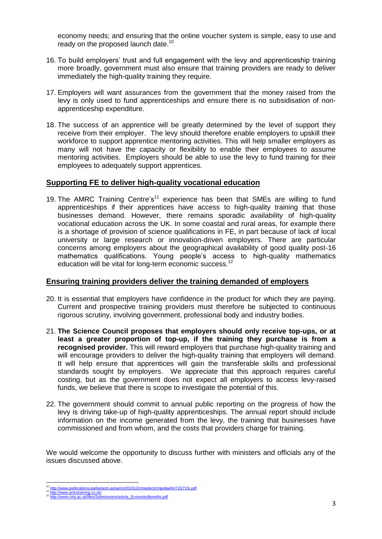economy needs; and ensuring that the online voucher system is simple, easy to use and ready on the proposed launch date.<sup>10</sup>

- 16. To build employers' trust and full engagement with the levy and apprenticeship training more broadly, government must also ensure that training providers are ready to deliver immediately the high-quality training they require.
- 17. Employers will want assurances from the government that the money raised from the levy is only used to fund apprenticeships and ensure there is no subsidisation of nonapprenticeship expenditure.
- 18. The success of an apprentice will be greatly determined by the level of support they receive from their employer. The levy should therefore enable employers to upskill their workforce to support apprentice mentoring activities. This will help smaller employers as many will not have the capacity or flexibility to enable their employees to assume mentoring activities. Employers should be able to use the levy to fund training for their employees to adequately support apprentices.

## **Supporting FE to deliver high-quality vocational education**

19. The AMRC Training Centre's<sup>11</sup> experience has been that SMEs are willing to fund apprenticeships if their apprentices have access to high-quality training that those businesses demand. However, there remains sporadic availability of high-quality vocational education across the UK. In some coastal and rural areas, for example there is a shortage of provision of science qualifications in FE, in part because of lack of local university or large research or innovation-driven employers. There are particular concerns among employers about the geographical availability of good quality post-16 mathematics qualifications. Young people's access to high-quality mathematics education will be vital for long-term economic success.<sup>12</sup>

### **Ensuring training providers deliver the training demanded of employers**

- 20. It is essential that employers have confidence in the product for which they are paying. Current and prospective training providers must therefore be subjected to continuous rigorous scrutiny, involving government, professional body and industry bodies.
- 21. **The Science Council proposes that employers should only receive top-ups, or at least a greater proportion of top-up, if the training they purchase is from a recognised provider.** This will reward employers that purchase high-quality training and will encourage providers to deliver the high-quality training that employers will demand. It will help ensure that apprentices will gain the transferable skills and professional standards sought by employers. We appreciate that this approach requires careful costing, but as the government does not expect all employers to access levy-raised funds, we believe that there is scope to investigate the potential of this.
- 22. The government should commit to annual public reporting on the progress of how the levy is driving take-up of high-quality apprenticeships. The annual report should include information on the income generated from the levy, the training that businesses have commissioned and from whom, and the costs that providers charge for training.

We would welcome the opportunity to discuss further with ministers and officials any of the issues discussed above.

<sup>1</sup> <http://www.publications.parliament.uk/pa/cm201012/cmselect/cmpubadm/715/715i.pdf>

<sup>11</sup> <http://www.amrctraining.co.uk/><br><sup>12</sup> [http://www.cms.ac.uk/files/Submissions/article\\_EconomicBenefits.pdf](http://www.cms.ac.uk/files/Submissions/article_EconomicBenefits.pdf)